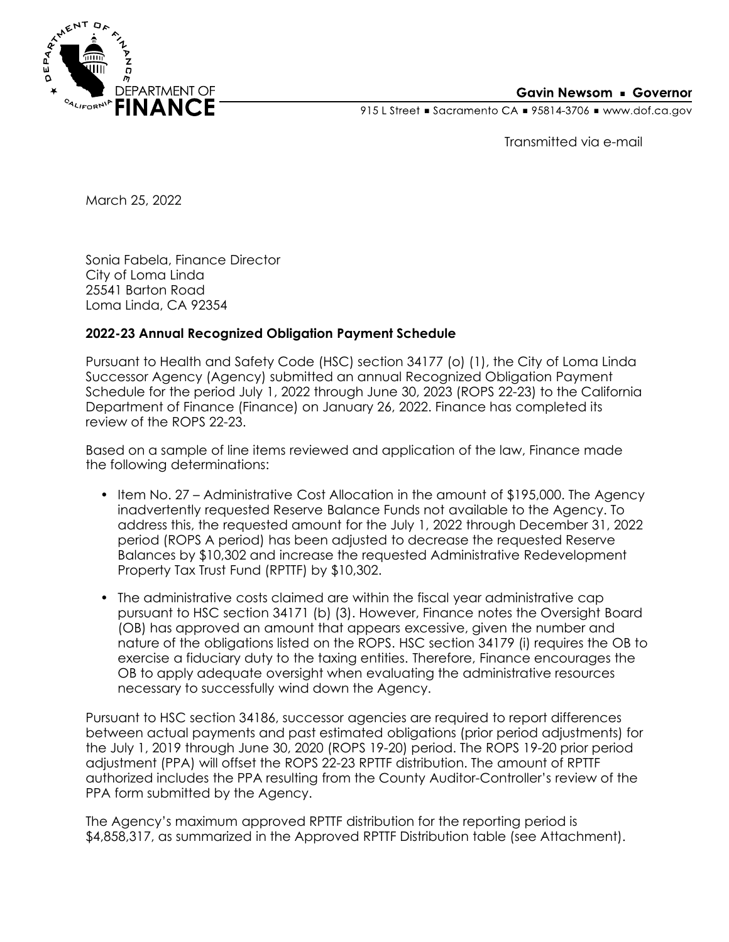

### **Gavin Newsom • Governor**

915 L Street Gacramento CA = 95814-3706 Www.dof.ca.gov

Transmitted via e-mail

March 25, 2022

Sonia Fabela, Finance Director City of Loma Linda 25541 Barton Road Loma Linda, CA 92354

# **2022-23 Annual Recognized Obligation Payment Schedule**

Pursuant to Health and Safety Code (HSC) section 34177 (o) (1), the City of Loma Linda Successor Agency (Agency) submitted an annual Recognized Obligation Payment Schedule for the period July 1, 2022 through June 30, 2023 (ROPS 22-23) to the California Department of Finance (Finance) on January 26, 2022. Finance has completed its review of the ROPS 22-23.

Based on a sample of line items reviewed and application of the law, Finance made the following determinations:

- Item No. 27 Administrative Cost Allocation in the amount of \$195,000. The Agency inadvertently requested Reserve Balance Funds not available to the Agency. To address this, the requested amount for the July 1, 2022 through December 31, 2022 period (ROPS A period) has been adjusted to decrease the requested Reserve Balances by \$10,302 and increase the requested Administrative Redevelopment Property Tax Trust Fund (RPTTF) by \$10,302.
- The administrative costs claimed are within the fiscal year administrative cap pursuant to HSC section 34171 (b) (3). However, Finance notes the Oversight Board (OB) has approved an amount that appears excessive, given the number and nature of the obligations listed on the ROPS. HSC section 34179 (i) requires the OB to exercise a fiduciary duty to the taxing entities. Therefore, Finance encourages the OB to apply adequate oversight when evaluating the administrative resources necessary to successfully wind down the Agency.

Pursuant to HSC section 34186, successor agencies are required to report differences between actual payments and past estimated obligations (prior period adjustments) for the July 1, 2019 through June 30, 2020 (ROPS 19-20) period. The ROPS 19-20 prior period adjustment (PPA) will offset the ROPS 22-23 RPTTF distribution. The amount of RPTTF authorized includes the PPA resulting from the County Auditor-Controller's review of the PPA form submitted by the Agency.

The Agency's maximum approved RPTTF distribution for the reporting period is \$4,858,317, as summarized in the Approved RPTTF Distribution table (see Attachment).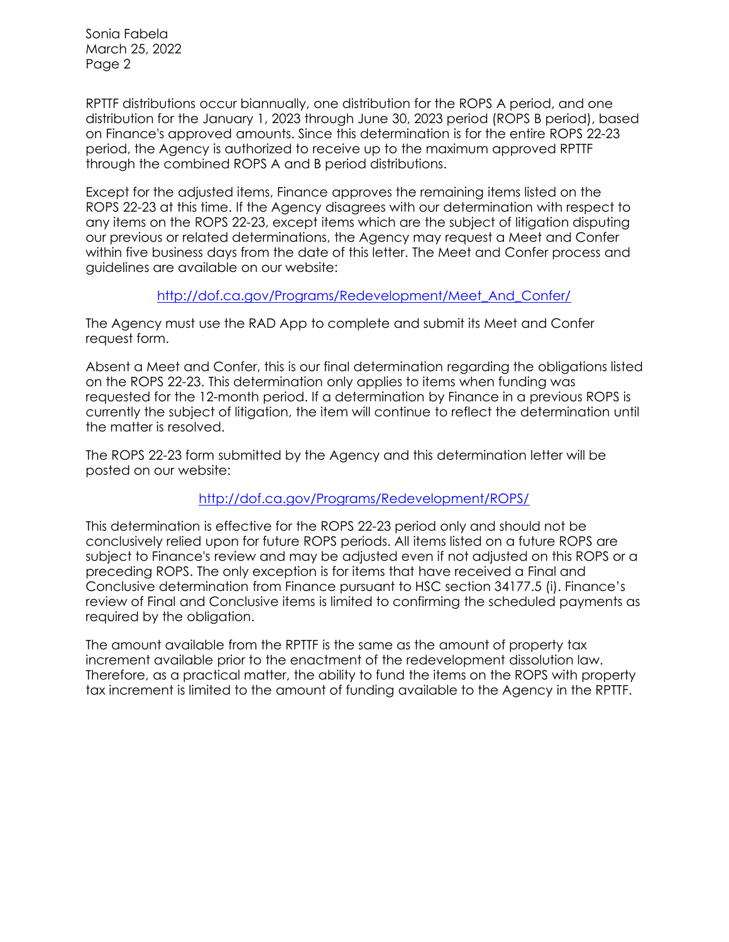Sonia Fabela March 25, 2022 Page 2

RPTTF distributions occur biannually, one distribution for the ROPS A period, and one distribution for the January 1, 2023 through June 30, 2023 period (ROPS B period), based on Finance's approved amounts. Since this determination is for the entire ROPS 22-23 period, the Agency is authorized to receive up to the maximum approved RPTTF through the combined ROPS A and B period distributions.

Except for the adjusted items, Finance approves the remaining items listed on the ROPS 22-23 at this time. If the Agency disagrees with our determination with respect to any items on the ROPS 22-23, except items which are the subject of litigation disputing our previous or related determinations, the Agency may request a Meet and Confer within five business days from the date of this letter. The Meet and Confer process and guidelines are available on our website:

# [http://dof.ca.gov/Programs/Redevelopment/Meet\\_And\\_Confer/](http://dof.ca.gov/Programs/Redevelopment/Meet_And_Confer/)

The Agency must use the RAD App to complete and submit its Meet and Confer request form.

Absent a Meet and Confer, this is our final determination regarding the obligations listed on the ROPS 22-23. This determination only applies to items when funding was requested for the 12-month period. If a determination by Finance in a previous ROPS is currently the subject of litigation, the item will continue to reflect the determination until the matter is resolved.

The ROPS 22-23 form submitted by the Agency and this determination letter will be posted on our website:

# <http://dof.ca.gov/Programs/Redevelopment/ROPS/>

This determination is effective for the ROPS 22-23 period only and should not be conclusively relied upon for future ROPS periods. All items listed on a future ROPS are subject to Finance's review and may be adjusted even if not adjusted on this ROPS or a preceding ROPS. The only exception is for items that have received a Final and Conclusive determination from Finance pursuant to HSC section 34177.5 (i). Finance's review of Final and Conclusive items is limited to confirming the scheduled payments as required by the obligation.

The amount available from the RPTTF is the same as the amount of property tax increment available prior to the enactment of the redevelopment dissolution law. Therefore, as a practical matter, the ability to fund the items on the ROPS with property tax increment is limited to the amount of funding available to the Agency in the RPTTF.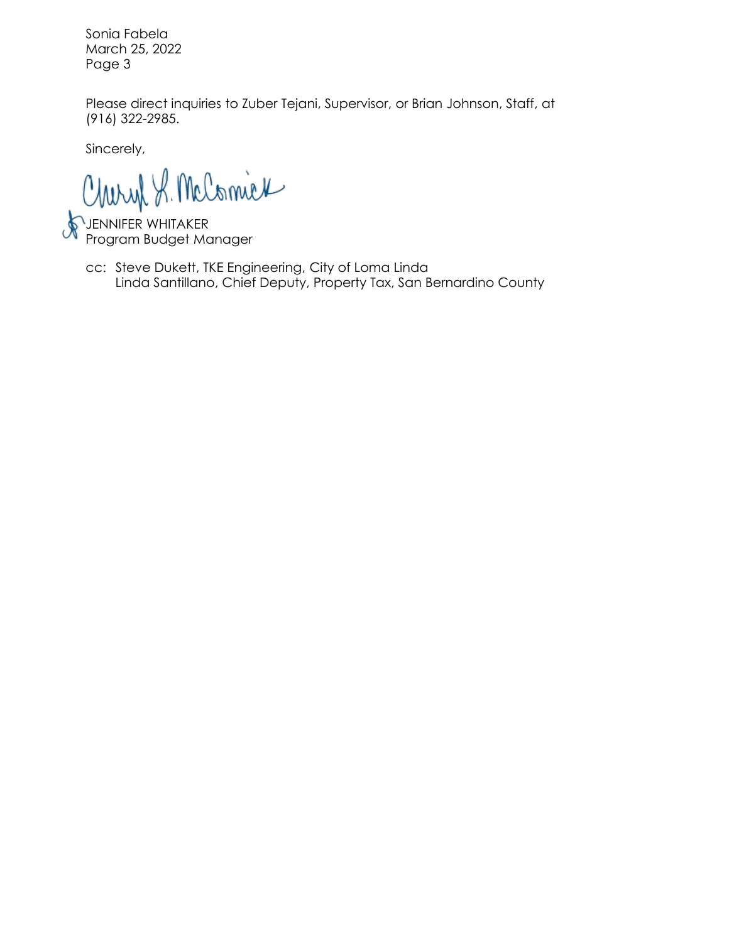Sonia Fabela March 25, 2022 Page 3

Please direct inquiries to Zuber Tejani, Supervisor, or Brian Johnson, Staff, at (916) 322-2985.

Sincerely,

Charyl S. McComick

JENNIFER WHITAKER Program Budget Manager

Linda Santillano, Chief Deputy, Property Tax, San Bernardino County cc: Steve Dukett, TKE Engineering, City of Loma Linda